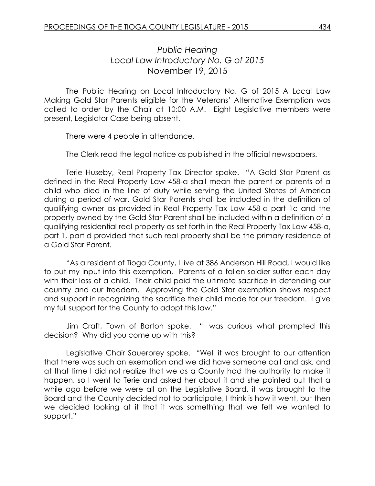## *Public Hearing Local Law Introductory No. G of 2015* November 19, 2015

The Public Hearing on Local Introductory No. G of 2015 A Local Law Making Gold Star Parents eligible for the Veterans' Alternative Exemption was called to order by the Chair at 10:00 A.M. Eight Legislative members were present, Legislator Case being absent.

There were 4 people in attendance.

The Clerk read the legal notice as published in the official newspapers.

Terie Huseby, Real Property Tax Director spoke. "A Gold Star Parent as defined in the Real Property Law 458-a shall mean the parent or parents of a child who died in the line of duty while serving the United States of America during a period of war, Gold Star Parents shall be included in the definition of qualifying owner as provided in Real Property Tax Law 458-a part 1c and the property owned by the Gold Star Parent shall be included within a definition of a qualifying residential real property as set forth in the Real Property Tax Law 458-a, part 1, part d provided that such real property shall be the primary residence of a Gold Star Parent.

"As a resident of Tioga County, I live at 386 Anderson Hill Road, I would like to put my input into this exemption. Parents of a fallen soldier suffer each day with their loss of a child. Their child paid the ultimate sacrifice in defending our country and our freedom. Approving the Gold Star exemption shows respect and support in recognizing the sacrifice their child made for our freedom. I give my full support for the County to adopt this law."

Jim Craft, Town of Barton spoke. "I was curious what prompted this decision? Why did you come up with this?

Legislative Chair Sauerbrey spoke. "Well it was brought to our attention that there was such an exemption and we did have someone call and ask, and at that time I did not realize that we as a County had the authority to make it happen, so I went to Terie and asked her about it and she pointed out that a while ago before we were all on the Legislative Board, it was brought to the Board and the County decided not to participate, I think is how it went, but then we decided looking at it that it was something that we felt we wanted to support."